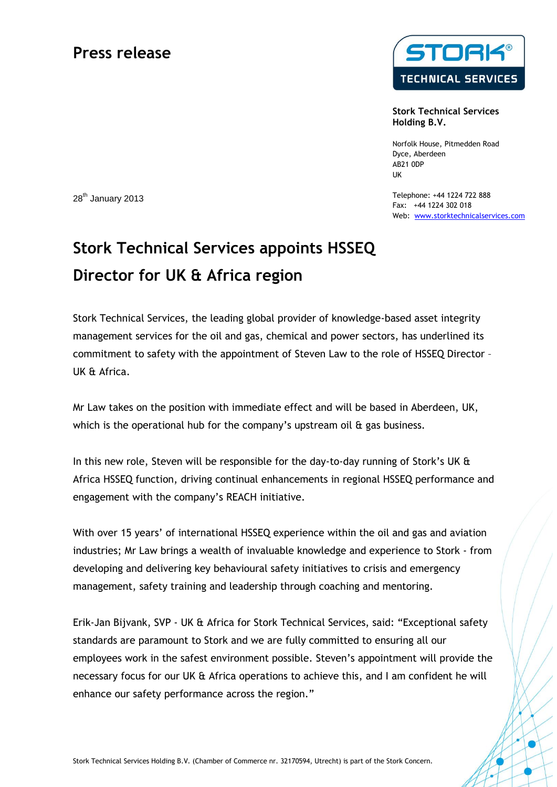# **Press release**



**Stork Technical Services Holding B.V.**

Norfolk House, Pitmedden Road Dyce, Aberdeen AB21 0DP UK

Telephone: +44 1224 722 888 Fax: +44 1224 302 018 Web: www.storktechnicalservices.com

28<sup>th</sup> January 2013

# **Stork Technical Services appoints HSSEQ Director for UK & Africa region**

Stork Technical Services, the leading global provider of knowledge-based asset integrity management services for the oil and gas, chemical and power sectors, has underlined its commitment to safety with the appointment of Steven Law to the role of HSSEQ Director – UK & Africa.

Mr Law takes on the position with immediate effect and will be based in Aberdeen, UK, which is the operational hub for the company's upstream oil & gas business.

In this new role, Steven will be responsible for the day-to-day running of Stork's UK & Africa HSSEQ function, driving continual enhancements in regional HSSEQ performance and engagement with the company's REACH initiative.

With over 15 years' of international HSSEQ experience within the oil and gas and aviation industries; Mr Law brings a wealth of invaluable knowledge and experience to Stork - from developing and delivering key behavioural safety initiatives to crisis and emergency management, safety training and leadership through coaching and mentoring.

Erik-Jan Bijvank, SVP - UK & Africa for Stork Technical Services, said: "Exceptional safety standards are paramount to Stork and we are fully committed to ensuring all our employees work in the safest environment possible. Steven's appointment will provide the necessary focus for our UK & Africa operations to achieve this, and I am confident he will enhance our safety performance across the region."